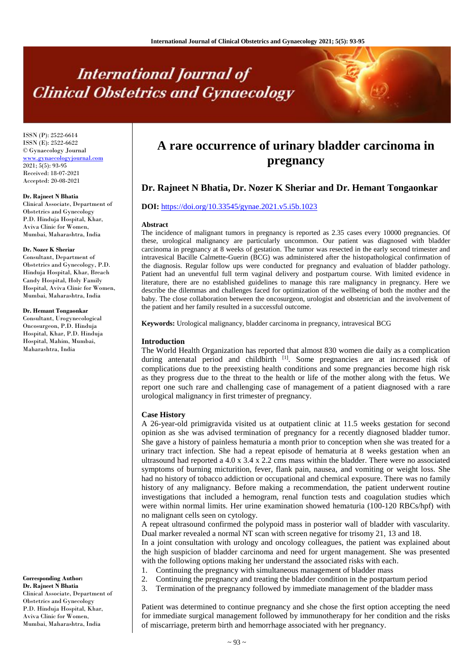# **International Journal of Clinical Obstetrics and Gynaecology**

ISSN (P): 2522-6614 ISSN (E): 2522-6622 © Gynaecology Journal <www.gynaecologyjournal.com> 2021; 5(5): 93-95 Received: 18-07-2021 Accepted: 20-08-2021

#### **Dr. Rajneet N Bhatia**

Clinical Associate, Department of Obstetrics and Gynecology P.D. Hinduja Hospital, Khar, Aviva Clinic for Women, Mumbai, Maharashtra, India

#### **Dr. Nozer K Sheriar**

Consultant, Department of Obstetrics and Gynecology, P.D. Hinduja Hospital, Khar, Breach Candy Hospital, Holy Family Hospital, Aviva Clinic for Women, Mumbai, Maharashtra, India

#### **Dr. Hemant Tongaonkar**

Consultant, Urogynecological Oncosurgeon, P.D. Hinduja Hospital, Khar, P.D. Hinduja Hospital, Mahim, Mumbai, Maharashtra, India

**Corresponding Author: Dr. Rajneet N Bhatia** Clinical Associate, Department of Obstetrics and Gynecology P.D. Hinduja Hospital, Khar, Aviva Clinic for Women, Mumbai, Maharashtra, India

# **A rare occurrence of urinary bladder carcinoma in pregnancy**

# **Dr. Rajneet N Bhatia, Dr. Nozer K Sheriar and Dr. Hemant Tongaonkar**

# **DOI:** <https://doi.org/10.33545/gynae.2021.v5.i5b.1023>

#### **Abstract**

The incidence of malignant tumors in pregnancy is reported as 2.35 cases every 10000 pregnancies. Of these, urological malignancy are particularly uncommon. Our patient was diagnosed with bladder carcinoma in pregnancy at 8 weeks of gestation. The tumor was resected in the early second trimester and intravesical Bacille Calmette-Guerin (BCG) was administered after the histopathological confirmation of the diagnosis. Regular follow ups were conducted for pregnancy and evaluation of bladder pathology. Patient had an uneventful full term vaginal delivery and postpartum course. With limited evidence in literature, there are no established guidelines to manage this rare malignancy in pregnancy. Here we describe the dilemmas and challenges faced for optimization of the wellbeing of both the mother and the baby. The close collaboration between the oncosurgeon, urologist and obstetrician and the involvement of the patient and her family resulted in a successful outcome.

**Keywords:** Urological malignancy, bladder carcinoma in pregnancy, intravesical BCG

#### **Introduction**

The World Health Organization has reported that almost 830 women die daily as a complication during antenatal period and childbirth [1]. Some pregnancies are at increased risk of complications due to the preexisting health conditions and some pregnancies become high risk as they progress due to the threat to the health or life of the mother along with the fetus. We report one such rare and challenging case of management of a patient diagnosed with a rare urological malignancy in first trimester of pregnancy.

#### **Case History**

A 26-year-old primigravida visited us at outpatient clinic at 11.5 weeks gestation for second opinion as she was advised termination of pregnancy for a recently diagnosed bladder tumor. She gave a history of painless hematuria a month prior to conception when she was treated for a urinary tract infection. She had a repeat episode of hematuria at 8 weeks gestation when an ultrasound had reported a  $4.0 \times 3.4 \times 2.2$  cms mass within the bladder. There were no associated symptoms of burning micturition, fever, flank pain, nausea, and vomiting or weight loss. She had no history of tobacco addiction or occupational and chemical exposure. There was no family history of any malignancy. Before making a recommendation, the patient underwent routine investigations that included a hemogram, renal function tests and coagulation studies which were within normal limits. Her urine examination showed hematuria (100-120 RBCs/hpf) with no malignant cells seen on cytology.

A repeat ultrasound confirmed the polypoid mass in posterior wall of bladder with vascularity. Dual marker revealed a normal NT scan with screen negative for trisomy 21, 13 and 18.

In a joint consultation with urology and oncology colleagues, the patient was explained about the high suspicion of bladder carcinoma and need for urgent management. She was presented with the following options making her understand the associated risks with each.

- 1. Continuing the pregnancy with simultaneous management of bladder mass
- 2. Continuing the pregnancy and treating the bladder condition in the postpartum period
- 3. Termination of the pregnancy followed by immediate management of the bladder mass

Patient was determined to continue pregnancy and she chose the first option accepting the need for immediate surgical management followed by immunotherapy for her condition and the risks of miscarriage, preterm birth and hemorrhage associated with her pregnancy.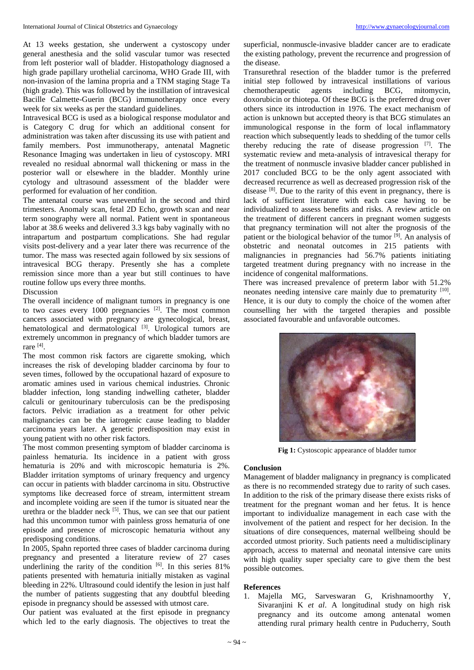At 13 weeks gestation, she underwent a cystoscopy under general anesthesia and the solid vascular tumor was resected from left posterior wall of bladder. Histopathology diagnosed a high grade papillary urothelial carcinoma, WHO Grade III, with non-invasion of the lamina propria and a TNM staging Stage Ta (high grade). This was followed by the instillation of intravesical Bacille Calmette-Guerin (BCG) immunotherapy once every week for six weeks as per the standard guidelines.

Intravesical BCG is used as a biological response modulator and is Category C drug for which an additional consent for administration was taken after discussing its use with patient and family members. Post immunotherapy, antenatal Magnetic Resonance Imaging was undertaken in lieu of cystoscopy. MRI revealed no residual abnormal wall thickening or mass in the posterior wall or elsewhere in the bladder. Monthly urine cytology and ultrasound assessment of the bladder were performed for evaluation of her condition.

The antenatal course was uneventful in the second and third trimesters. Anomaly scan, fetal 2D Echo, growth scan and near term sonography were all normal. Patient went in spontaneous labor at 38.6 weeks and delivered 3.3 kgs baby vaginally with no intrapartum and postpartum complications. She had regular visits post-delivery and a year later there was recurrence of the tumor. The mass was resected again followed by six sessions of intravesical BCG therapy. Presently she has a complete remission since more than a year but still continues to have routine follow ups every three months.

# Discussion

The overall incidence of malignant tumors in pregnancy is one to two cases every  $1000$  pregnancies  $^{[2]}$ . The most common cancers associated with pregnancy are gynecological, breast, hematological and dermatological <sup>[3]</sup>. Urological tumors are extremely uncommon in pregnancy of which bladder tumors are rare [4] .

The most common risk factors are cigarette smoking, which increases the risk of developing bladder carcinoma by four to seven times, followed by the occupational hazard of exposure to aromatic amines used in various chemical industries. Chronic bladder infection, long standing indwelling catheter, bladder calculi or genitourinary tuberculosis can be the predisposing factors. Pelvic irradiation as a treatment for other pelvic malignancies can be the iatrogenic cause leading to bladder carcinoma years later. A genetic predisposition may exist in young patient with no other risk factors.

The most common presenting symptom of bladder carcinoma is painless hematuria. Its incidence in a patient with gross hematuria is 20% and with microscopic hematuria is 2%. Bladder irritation symptoms of urinary frequency and urgency can occur in patients with bladder carcinoma in situ. Obstructive symptoms like decreased force of stream, intermittent stream and incomplete voiding are seen if the tumor is situated near the urethra or the bladder neck  $[5]$ . Thus, we can see that our patient had this uncommon tumor with painless gross hematuria of one episode and presence of microscopic hematuria without any predisposing conditions.

In 2005, Spahn reported three cases of bladder carcinoma during pregnancy and presented a literature review of 27 cases underlining the rarity of the condition [6]. In this series 81% patients presented with hematuria initially mistaken as vaginal bleeding in 22%. Ultrasound could identify the lesion in just half the number of patients suggesting that any doubtful bleeding episode in pregnancy should be assessed with utmost care.

Our patient was evaluated at the first episode in pregnancy which led to the early diagnosis. The objectives to treat the

superficial, nonmuscle-invasive bladder cancer are to eradicate the existing pathology, prevent the recurrence and progression of the disease.

Transurethral resection of the bladder tumor is the preferred initial step followed by intravesical instillations of various chemotherapeutic agents including BCG, mitomycin, doxorubicin or thiotepa. Of these BCG is the preferred drug over others since its introduction in 1976. The exact mechanism of action is unknown but accepted theory is that BCG stimulates an immunological response in the form of local inflammatory reaction which subsequently leads to shedding of the tumor cells thereby reducing the rate of disease progression  $[7]$ . The systematic review and meta-analysis of intravesical therapy for the treatment of nonmuscle invasive bladder cancer published in 2017 concluded BCG to be the only agent associated with decreased recurrence as well as decreased progression risk of the disease [8]. Due to the rarity of this event in pregnancy, there is lack of sufficient literature with each case having to be individualized to assess benefits and risks. A review article on the treatment of different cancers in pregnant women suggests that pregnancy termination will not alter the prognosis of the patient or the biological behavior of the tumor <sup>[9]</sup>. An analysis of obstetric and neonatal outcomes in 215 patients with malignancies in pregnancies had 56.7% patients initiating targeted treatment during pregnancy with no increase in the incidence of congenital malformations.

There was increased prevalence of preterm labor with 51.2% neonates needing intensive care mainly due to prematurity [10]. Hence, it is our duty to comply the choice of the women after counselling her with the targeted therapies and possible associated favourable and unfavorable outcomes.



**Fig 1:** Cystoscopic appearance of bladder tumor

## **Conclusion**

Management of bladder malignancy in pregnancy is complicated as there is no recommended strategy due to rarity of such cases. In addition to the risk of the primary disease there exists risks of treatment for the pregnant woman and her fetus. It is hence important to individualize management in each case with the involvement of the patient and respect for her decision. In the situations of dire consequences, maternal wellbeing should be accorded utmost priority. Such patients need a multidisciplinary approach, access to maternal and neonatal intensive care units with high quality super specialty care to give them the best possible outcomes.

## **References**

1. Majella MG, Sarveswaran G, Krishnamoorthy Y, Sivaranjini K *et al*. A longitudinal study on high risk pregnancy and its outcome among antenatal women attending rural primary health centre in Puducherry, South